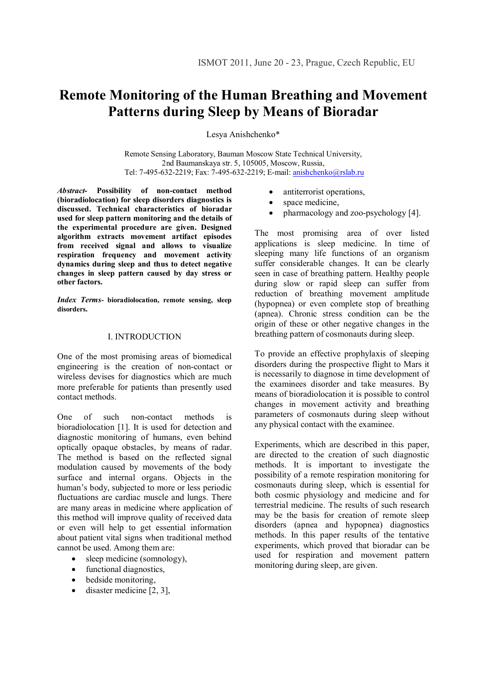# **Remote Monitoring of the Human Breathing and Movement Patterns during Sleep by Means of Bioradar**

Lesya Anishchenko\*

Remote Sensing Laboratory, Bauman Moscow State Technical University, 2nd Baumanskaya str. 5, 105005, Moscow, Russia, Tel: 7-495-632-2219; Fax: 7-495-632-2219; E-mail: anishchenko@rslab.ru

*Abstract***- Possibility of non-contact method (bioradiolocation) for sleep disorders diagnostics is discussed. Technical characteristics of bioradar used for sleep pattern monitoring and the details of the experimental procedure are given. Designed algorithm extracts movement artifact episodes from received signal and allows to visualize respiration frequency and movement activity dynamics during sleep and thus to detect negative changes in sleep pattern caused by day stress or other factors.**

*Index Terms***- bioradiolocation, remote sensing, sleep disorders.**

## I. INTRODUCTION

One of the most promising areas of biomedical engineering is the creation of non-contact or wireless devises for diagnostics which are much more preferable for patients than presently used contact methods.

One of such non-contact methods is bioradiolocation [1]. It is used for detection and diagnostic monitoring of humans, even behind optically opaque obstacles, by means of radar. The method is based on the reflected signal modulation caused by movements of the body surface and internal organs. Objects in the human's body, subjected to more or less periodic fluctuations are cardiac muscle and lungs. There are many areas in medicine where application of this method will improve quality of received data or even will help to get essential information about patient vital signs when traditional method cannot be used. Among them are:

- sleep medicine (somnology),
- functional diagnostics,
- bedside monitoring.
- $\bullet$  disaster medicine [2, 3],
- antiterrorist operations,
- space medicine,
- pharmacology and zoo-psychology [4].

The most promising area of over listed applications is sleep medicine. In time of sleeping many life functions of an organism suffer considerable changes. It can be clearly seen in case of breathing pattern. Healthy people during slow or rapid sleep can suffer from reduction of breathing movement amplitude (hypopnea) or even complete stop of breathing (apnea). Chronic stress condition can be the origin of these or other negative changes in the breathing pattern of cosmonauts during sleep.

To provide an effective prophylaxis of sleeping disorders during the prospective flight to Mars it is necessarily to diagnose in time development of the examinees disorder and take measures. By means of bioradiolocation it is possible to control changes in movement activity and breathing parameters of cosmonauts during sleep without any physical contact with the examinee.

Experiments, which are described in this paper, are directed to the creation of such diagnostic methods. It is important to investigate the possibility of a remote respiration monitoring for cosmonauts during sleep, which is essential for both cosmic physiology and medicine and for terrestrial medicine. The results of such research may be the basis for creation of remote sleep disorders (apnea and hypopnea) diagnostics methods. In this paper results of the tentative experiments, which proved that bioradar can be used for respiration and movement pattern monitoring during sleep, are given.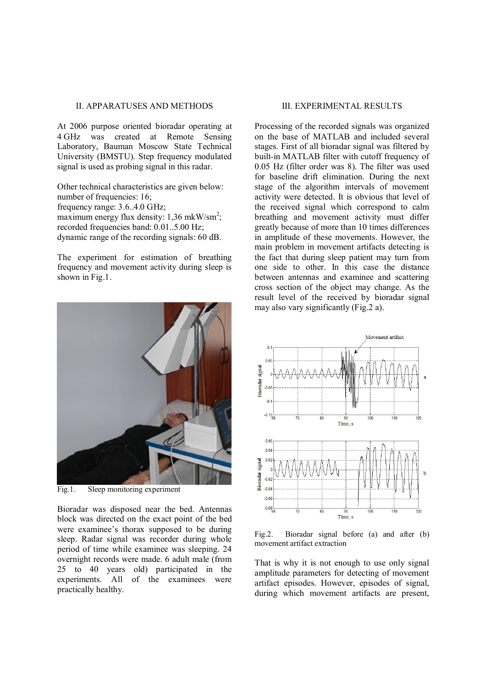## II. APPARATUSES AND METHODS

At 2006 purpose oriented bioradar operating at 4 GHz was created at Remote Sensing Laboratory, Bauman Moscow State Technical University (BMSTU). Step frequency modulated signal is used as probing signal in this radar.

Other technical characteristics are given below: number of frequencies: 16; frequency range: 3.6..4.0 GHz; maximum energy flux density:  $1,36$  mkW/sm<sup>2</sup>; recorded frequencies band: 0.01..5.00 Hz; dynamic range of the recording signals: 60 dB.

The experiment for estimation of breathing frequency and movement activity during sleep is shown in Fig.1.



Fig.1. Sleep monitoring experiment

Bioradar was disposed near the bed. Antennas block was directed on the exact point of the bed were examinee's thorax supposed to be during sleep. Radar signal was recorder during whole period of time while examinee was sleeping. 24 overnight records were made. 6 adult male (from 25 to 40 years old) participated in the experiments. All of the examinees were practically healthy.

## III. EXPERIMENTAL RESULTS

Processing of the recorded signals was organized on the base of MATLAB and included several stages. First of all bioradar signal was filtered by built-in MATLAB filter with cutoff frequency of 0.05 Hz (filter order was 8). The filter was used for baseline drift elimination. During the next stage of the algorithm intervals of movement activity were detected. It is obvious that level of the received signal which correspond to calm breathing and movement activity must differ greatly because of more than 10 times differences in amplitude of these movements. However, the main problem in movement artifacts detecting is the fact that during sleep patient may turn from one side to other. In this case the distance between antennas and examinee and scattering cross section of the object may change. As the result level of the received by bioradar signal may also vary significantly (Fig.2 a).



Fig.2. Bioradar signal before (a) and after (b) movement artifact extraction

That is why it is not enough to use only signal amplitude parameters for detecting of movement artifact episodes. However, episodes of signal, during which movement artifacts are present,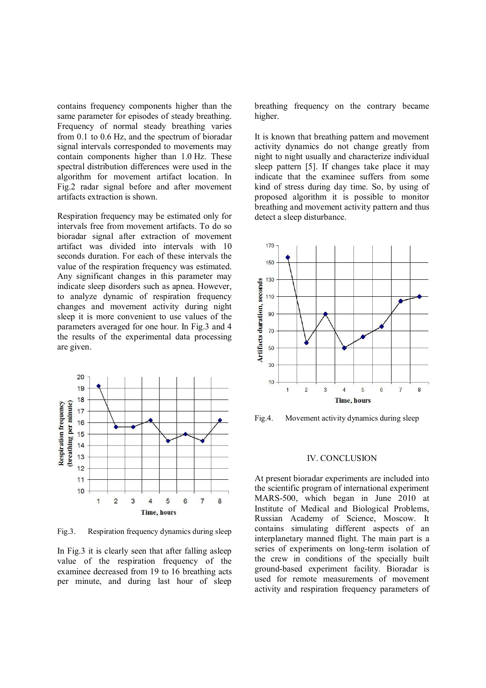contains frequency components higher than the same parameter for episodes of steady breathing. Frequency of normal steady breathing varies from 0.1 to 0.6 Hz, and the spectrum of bioradar signal intervals corresponded to movements may contain components higher than 1.0 Hz. These spectral distribution differences were used in the algorithm for movement artifact location. In Fig.2 radar signal before and after movement artifacts extraction is shown.

Respiration frequency may be estimated only for intervals free from movement artifacts. To do so bioradar signal after extraction of movement artifact was divided into intervals with 10 seconds duration. For each of these intervals the value of the respiration frequency was estimated. Any significant changes in this parameter may indicate sleep disorders such as apnea. However, to analyze dynamic of respiration frequency changes and movement activity during night sleep it is more convenient to use values of the parameters averaged for one hour. In Fig.3 and 4 the results of the experimental data processing are given.



Fig.3. Respiration frequency dynamics during sleep

In Fig.3 it is clearly seen that after falling asleep value of the respiration frequency of the examinee decreased from 19 to 16 breathing acts per minute, and during last hour of sleep breathing frequency on the contrary became higher.

It is known that breathing pattern and movement activity dynamics do not change greatly from night to night usually and characterize individual sleep pattern [5]. If changes take place it may indicate that the examinee suffers from some kind of stress during day time. So, by using of proposed algorithm it is possible to monitor breathing and movement activity pattern and thus detect a sleep disturbance.



Fig.4. Movement activity dynamics during sleep

#### IV. CONCLUSION

At present bioradar experiments are included into the scientific program of international experiment MARS-500, which began in June 2010 at Institute of Medical and Biological Problems, Russian Academy of Science, Moscow. It contains simulating different aspects of an interplanetary manned flight. The main part is a series of experiments on long-term isolation of the crew in conditions of the specially built ground-based experiment facility. Bioradar is used for remote measurements of movement activity and respiration frequency parameters of